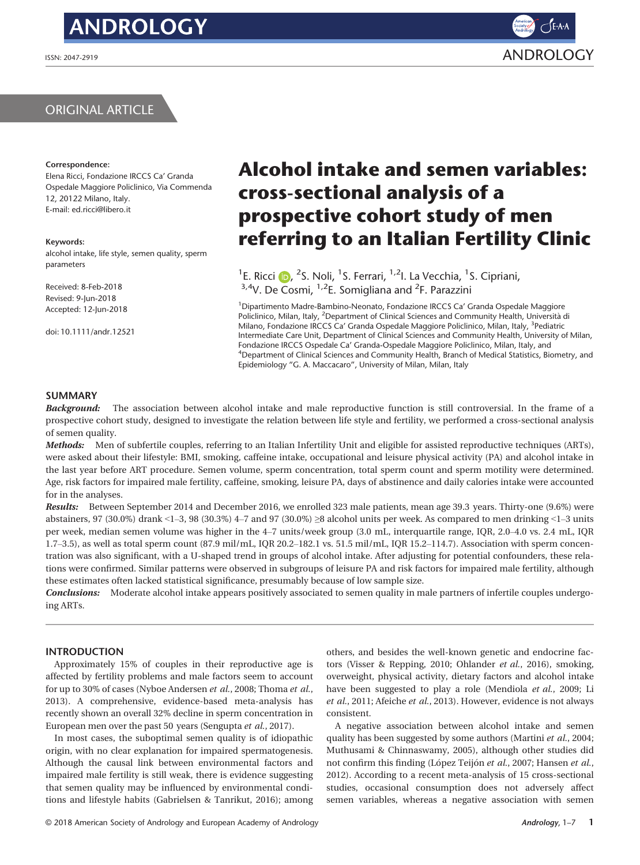# **ANDROLOGY**

# ORIGINAL ARTICLE

#### Correspondence:

Elena Ricci, Fondazione IRCCS Ca' Granda Ospedale Maggiore Policlinico, Via Commenda 12, 20122 Milano, Italy. E-mail: ed.ricci@libero.it

#### Keywords:

alcohol intake, life style, semen quality, sperm parameters

Received: 8-Feb-2018 Revised: 9-Jun-2018 Accepted: 12-Jun-2018

doi: 10.1111/andr.12521

# Alcohol intake and semen variables: cross-sectional analysis of a prospective cohort study of men referring to an Italian Fertility Clinic

<sup>1</sup>E. R[i](http://orcid.org/0000-0001-5279-0444)cci (D, <sup>2</sup>S. Noli, <sup>1</sup>S. Ferrari, <sup>1,2</sup>I. La Vecchia, <sup>1</sup>S. Cipriani, <sup>3,4</sup>V. De Cosmi, <sup>1,2</sup>E. Somigliana and <sup>2</sup>F. Parazzini

1 Dipartimento Madre-Bambino-Neonato, Fondazione IRCCS Ca' Granda Ospedale Maggiore Policlinico, Milan, Italy, <sup>2</sup>Department of Clinical Sciences and Community Health, Università di Milano, Fondazione IRCCS Ca' Granda Ospedale Maggiore Policlinico, Milan, Italy, <sup>3</sup>Pediatric Intermediate Care Unit, Department of Clinical Sciences and Community Health, University of Milan, Fondazione IRCCS Ospedale Ca' Granda-Ospedale Maggiore Policlinico, Milan, Italy, and 4 Department of Clinical Sciences and Community Health, Branch of Medical Statistics, Biometry, and Epidemiology "G. A. Maccacaro", University of Milan, Milan, Italy

# SUMMARY

**Background:** The association between alcohol intake and male reproductive function is still controversial. In the frame of a prospective cohort study, designed to investigate the relation between life style and fertility, we performed a cross-sectional analysis of semen quality.

Methods: Men of subfertile couples, referring to an Italian Infertility Unit and eligible for assisted reproductive techniques (ARTs), were asked about their lifestyle: BMI, smoking, caffeine intake, occupational and leisure physical activity (PA) and alcohol intake in the last year before ART procedure. Semen volume, sperm concentration, total sperm count and sperm motility were determined. Age, risk factors for impaired male fertility, caffeine, smoking, leisure PA, days of abstinence and daily calories intake were accounted for in the analyses.

Results: Between September 2014 and December 2016, we enrolled 323 male patients, mean age 39.3 years. Thirty-one (9.6%) were abstainers, 97 (30.0%) drank <1–3, 98 (30.3%) 4–7 and 97 (30.0%) ≥8 alcohol units per week. As compared to men drinking <1–3 units per week, median semen volume was higher in the 4–7 units/week group (3.0 mL, interquartile range, IQR, 2.0–4.0 vs. 2.4 mL, IQR 1.7–3.5), as well as total sperm count (87.9 mil/mL, IQR 20.2–182.1 vs. 51.5 mil/mL, IQR 15.2–114.7). Association with sperm concentration was also significant, with a U-shaped trend in groups of alcohol intake. After adjusting for potential confounders, these relations were confirmed. Similar patterns were observed in subgroups of leisure PA and risk factors for impaired male fertility, although these estimates often lacked statistical significance, presumably because of low sample size.

Conclusions: Moderate alcohol intake appears positively associated to semen quality in male partners of infertile couples undergoing ARTs.

# INTRODUCTION

Approximately 15% of couples in their reproductive age is affected by fertility problems and male factors seem to account for up to 30% of cases (Nyboe Andersen et al., 2008; Thoma et al., 2013). A comprehensive, evidence-based meta-analysis has recently shown an overall 32% decline in sperm concentration in European men over the past 50 years (Sengupta et al., 2017).

In most cases, the suboptimal semen quality is of idiopathic origin, with no clear explanation for impaired spermatogenesis. Although the causal link between environmental factors and impaired male fertility is still weak, there is evidence suggesting that semen quality may be influenced by environmental conditions and lifestyle habits (Gabrielsen & Tanrikut, 2016); among others, and besides the well-known genetic and endocrine factors (Visser & Repping, 2010; Ohlander et al., 2016), smoking, overweight, physical activity, dietary factors and alcohol intake have been suggested to play a role (Mendiola et al., 2009; Li et al., 2011; Afeiche et al., 2013). However, evidence is not always consistent.

A negative association between alcohol intake and semen quality has been suggested by some authors (Martini et al., 2004; Muthusami & Chinnaswamy, 2005), although other studies did not confirm this finding (López Teijón et al., 2007; Hansen et al., 2012). According to a recent meta-analysis of 15 cross-sectional studies, occasional consumption does not adversely affect semen variables, whereas a negative association with semen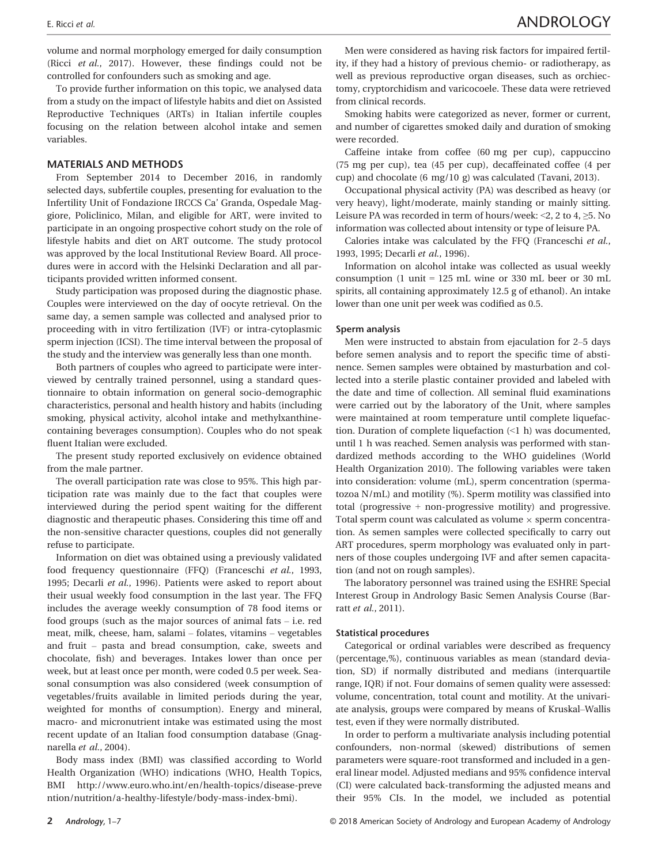volume and normal morphology emerged for daily consumption (Ricci et al., 2017). However, these findings could not be controlled for confounders such as smoking and age.

To provide further information on this topic, we analysed data from a study on the impact of lifestyle habits and diet on Assisted Reproductive Techniques (ARTs) in Italian infertile couples focusing on the relation between alcohol intake and semen variables.

# MATERIALS AND METHODS

From September 2014 to December 2016, in randomly selected days, subfertile couples, presenting for evaluation to the Infertility Unit of Fondazione IRCCS Ca' Granda, Ospedale Maggiore, Policlinico, Milan, and eligible for ART, were invited to participate in an ongoing prospective cohort study on the role of lifestyle habits and diet on ART outcome. The study protocol was approved by the local Institutional Review Board. All procedures were in accord with the Helsinki Declaration and all participants provided written informed consent.

Study participation was proposed during the diagnostic phase. Couples were interviewed on the day of oocyte retrieval. On the same day, a semen sample was collected and analysed prior to proceeding with in vitro fertilization (IVF) or intra-cytoplasmic sperm injection (ICSI). The time interval between the proposal of the study and the interview was generally less than one month.

Both partners of couples who agreed to participate were interviewed by centrally trained personnel, using a standard questionnaire to obtain information on general socio-demographic characteristics, personal and health history and habits (including smoking, physical activity, alcohol intake and methylxanthinecontaining beverages consumption). Couples who do not speak fluent Italian were excluded.

The present study reported exclusively on evidence obtained from the male partner.

The overall participation rate was close to 95%. This high participation rate was mainly due to the fact that couples were interviewed during the period spent waiting for the different diagnostic and therapeutic phases. Considering this time off and the non-sensitive character questions, couples did not generally refuse to participate.

Information on diet was obtained using a previously validated food frequency questionnaire (FFQ) (Franceschi et al., 1993, 1995; Decarli et al., 1996). Patients were asked to report about their usual weekly food consumption in the last year. The FFQ includes the average weekly consumption of 78 food items or food groups (such as the major sources of animal fats – i.e. red meat, milk, cheese, ham, salami – folates, vitamins – vegetables and fruit – pasta and bread consumption, cake, sweets and chocolate, fish) and beverages. Intakes lower than once per week, but at least once per month, were coded 0.5 per week. Seasonal consumption was also considered (week consumption of vegetables/fruits available in limited periods during the year, weighted for months of consumption). Energy and mineral, macro- and micronutrient intake was estimated using the most recent update of an Italian food consumption database (Gnagnarella et al., 2004).

Body mass index (BMI) was classified according to World Health Organization (WHO) indications (WHO, Health Topics, BMI [http://www.euro.who.int/en/health-topics/disease-preve](http://www.euro.who.int/en/health-topics/disease-prevention/nutrition/a-healthy-lifestyle/body-mass-index-bmi) [ntion/nutrition/a-healthy-lifestyle/body-mass-index-bmi\)](http://www.euro.who.int/en/health-topics/disease-prevention/nutrition/a-healthy-lifestyle/body-mass-index-bmi).

Men were considered as having risk factors for impaired fertility, if they had a history of previous chemio- or radiotherapy, as well as previous reproductive organ diseases, such as orchiectomy, cryptorchidism and varicocoele. These data were retrieved from clinical records.

Smoking habits were categorized as never, former or current, and number of cigarettes smoked daily and duration of smoking were recorded.

Caffeine intake from coffee (60 mg per cup), cappuccino (75 mg per cup), tea (45 per cup), decaffeinated coffee (4 per cup) and chocolate (6 mg/10 g) was calculated (Tavani, 2013).

Occupational physical activity (PA) was described as heavy (or very heavy), light/moderate, mainly standing or mainly sitting. Leisure PA was recorded in term of hours/week: <2, 2 to 4, ≥5. No information was collected about intensity or type of leisure PA.

Calories intake was calculated by the FFQ (Franceschi et al., 1993, 1995; Decarli et al., 1996).

Information on alcohol intake was collected as usual weekly consumption (1 unit = 125 mL wine or 330 mL beer or 30 mL spirits, all containing approximately 12.5 g of ethanol). An intake lower than one unit per week was codified as 0.5.

#### Sperm analysis

Men were instructed to abstain from ejaculation for 2–5 days before semen analysis and to report the specific time of abstinence. Semen samples were obtained by masturbation and collected into a sterile plastic container provided and labeled with the date and time of collection. All seminal fluid examinations were carried out by the laboratory of the Unit, where samples were maintained at room temperature until complete liquefaction. Duration of complete liquefaction (<1 h) was documented, until 1 h was reached. Semen analysis was performed with standardized methods according to the WHO guidelines (World Health Organization 2010). The following variables were taken into consideration: volume (mL), sperm concentration (spermatozoa N/mL) and motility (%). Sperm motility was classified into total (progressive + non-progressive motility) and progressive. Total sperm count was calculated as volume  $\times$  sperm concentration. As semen samples were collected specifically to carry out ART procedures, sperm morphology was evaluated only in partners of those couples undergoing IVF and after semen capacitation (and not on rough samples).

The laboratory personnel was trained using the ESHRE Special Interest Group in Andrology Basic Semen Analysis Course (Barratt et al., 2011).

### Statistical procedures

Categorical or ordinal variables were described as frequency (percentage,%), continuous variables as mean (standard deviation, SD) if normally distributed and medians (interquartile range, IQR) if not. Four domains of semen quality were assessed: volume, concentration, total count and motility. At the univariate analysis, groups were compared by means of Kruskal–Wallis test, even if they were normally distributed.

In order to perform a multivariate analysis including potential confounders, non-normal (skewed) distributions of semen parameters were square-root transformed and included in a general linear model. Adjusted medians and 95% confidence interval (CI) were calculated back-transforming the adjusted means and their 95% CIs. In the model, we included as potential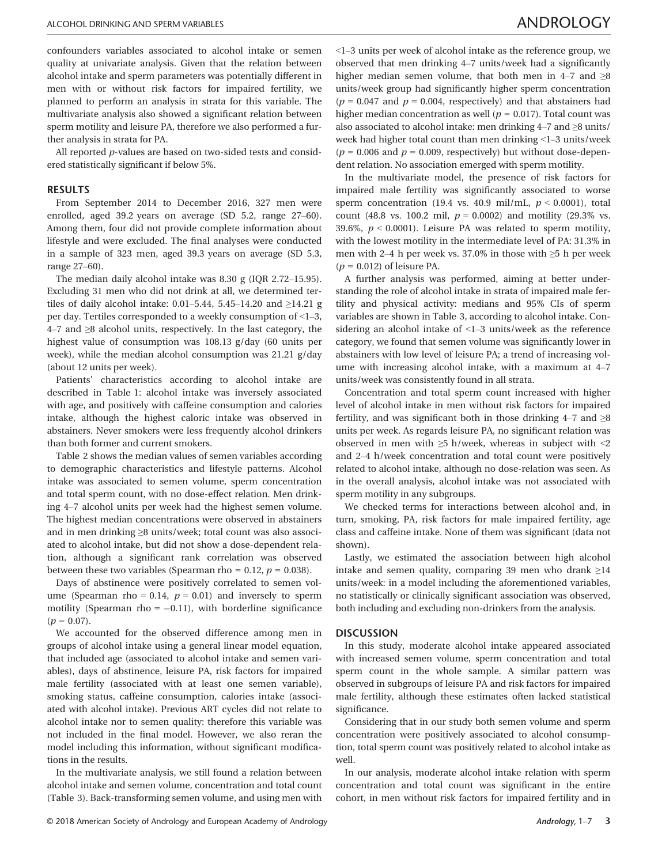confounders variables associated to alcohol intake or semen quality at univariate analysis. Given that the relation between alcohol intake and sperm parameters was potentially different in men with or without risk factors for impaired fertility, we planned to perform an analysis in strata for this variable. The multivariate analysis also showed a significant relation between sperm motility and leisure PA, therefore we also performed a further analysis in strata for PA.

All reported p-values are based on two-sided tests and considered statistically significant if below 5%.

#### RESULTS

From September 2014 to December 2016, 327 men were enrolled, aged 39.2 years on average (SD 5.2, range 27–60). Among them, four did not provide complete information about lifestyle and were excluded. The final analyses were conducted in a sample of 323 men, aged 39.3 years on average (SD 5.3, range 27–60).

The median daily alcohol intake was 8.30 g (IQR 2.72–15.95). Excluding 31 men who did not drink at all, we determined tertiles of daily alcohol intake: 0.01–5.44, 5.45–14.20 and ≥14.21 g per day. Tertiles corresponded to a weekly consumption of <1–3, 4–7 and ≥8 alcohol units, respectively. In the last category, the highest value of consumption was 108.13 g/day (60 units per week), while the median alcohol consumption was 21.21 g/day (about 12 units per week).

Patients' characteristics according to alcohol intake are described in Table 1: alcohol intake was inversely associated with age, and positively with caffeine consumption and calories intake, although the highest caloric intake was observed in abstainers. Never smokers were less frequently alcohol drinkers than both former and current smokers.

Table 2 shows the median values of semen variables according to demographic characteristics and lifestyle patterns. Alcohol intake was associated to semen volume, sperm concentration and total sperm count, with no dose-effect relation. Men drinking 4–7 alcohol units per week had the highest semen volume. The highest median concentrations were observed in abstainers and in men drinking ≥8 units/week; total count was also associated to alcohol intake, but did not show a dose-dependent relation, although a significant rank correlation was observed between these two variables (Spearman rho = 0.12,  $p = 0.038$ ).

Days of abstinence were positively correlated to semen volume (Spearman rho = 0.14,  $p = 0.01$ ) and inversely to sperm motility (Spearman rho  $= -0.11$ ), with borderline significance  $(p = 0.07)$ .

We accounted for the observed difference among men in groups of alcohol intake using a general linear model equation, that included age (associated to alcohol intake and semen variables), days of abstinence, leisure PA, risk factors for impaired male fertility (associated with at least one semen variable), smoking status, caffeine consumption, calories intake (associated with alcohol intake). Previous ART cycles did not relate to alcohol intake nor to semen quality: therefore this variable was not included in the final model. However, we also reran the model including this information, without significant modifications in the results.

In the multivariate analysis, we still found a relation between alcohol intake and semen volume, concentration and total count (Table 3). Back-transforming semen volume, and using men with <1–3 units per week of alcohol intake as the reference group, we observed that men drinking 4–7 units/week had a significantly higher median semen volume, that both men in 4–7 and  $\geq 8$ units/week group had significantly higher sperm concentration  $(p = 0.047$  and  $p = 0.004$ , respectively) and that abstainers had higher median concentration as well ( $p = 0.017$ ). Total count was also associated to alcohol intake: men drinking 4–7 and ≥8 units/ week had higher total count than men drinking <1–3 units/week  $(p = 0.006$  and  $p = 0.009$ , respectively) but without dose-dependent relation. No association emerged with sperm motility.

In the multivariate model, the presence of risk factors for impaired male fertility was significantly associated to worse sperm concentration (19.4 vs. 40.9 mil/mL,  $p < 0.0001$ ), total count (48.8 vs. 100.2 mil,  $p = 0.0002$ ) and motility (29.3% vs. 39.6%,  $p < 0.0001$ ). Leisure PA was related to sperm motility, with the lowest motility in the intermediate level of PA: 31.3% in men with 2–4 h per week vs. 37.0% in those with ≥5 h per week  $(p = 0.012)$  of leisure PA.

A further analysis was performed, aiming at better understanding the role of alcohol intake in strata of impaired male fertility and physical activity: medians and 95% CIs of sperm variables are shown in Table 3, according to alcohol intake. Considering an alcohol intake of <1–3 units/week as the reference category, we found that semen volume was significantly lower in abstainers with low level of leisure PA; a trend of increasing volume with increasing alcohol intake, with a maximum at 4–7 units/week was consistently found in all strata.

Concentration and total sperm count increased with higher level of alcohol intake in men without risk factors for impaired fertility, and was significant both in those drinking  $4-7$  and  $\geq 8$ units per week. As regards leisure PA, no significant relation was observed in men with ≥5 h/week, whereas in subject with <2 and 2–4 h/week concentration and total count were positively related to alcohol intake, although no dose-relation was seen. As in the overall analysis, alcohol intake was not associated with sperm motility in any subgroups.

We checked terms for interactions between alcohol and, in turn, smoking, PA, risk factors for male impaired fertility, age class and caffeine intake. None of them was significant (data not shown).

Lastly, we estimated the association between high alcohol intake and semen quality, comparing 39 men who drank ≥14 units/week: in a model including the aforementioned variables, no statistically or clinically significant association was observed, both including and excluding non-drinkers from the analysis.

### **DISCUSSION**

In this study, moderate alcohol intake appeared associated with increased semen volume, sperm concentration and total sperm count in the whole sample. A similar pattern was observed in subgroups of leisure PA and risk factors for impaired male fertility, although these estimates often lacked statistical significance.

Considering that in our study both semen volume and sperm concentration were positively associated to alcohol consumption, total sperm count was positively related to alcohol intake as well.

In our analysis, moderate alcohol intake relation with sperm concentration and total count was significant in the entire cohort, in men without risk factors for impaired fertility and in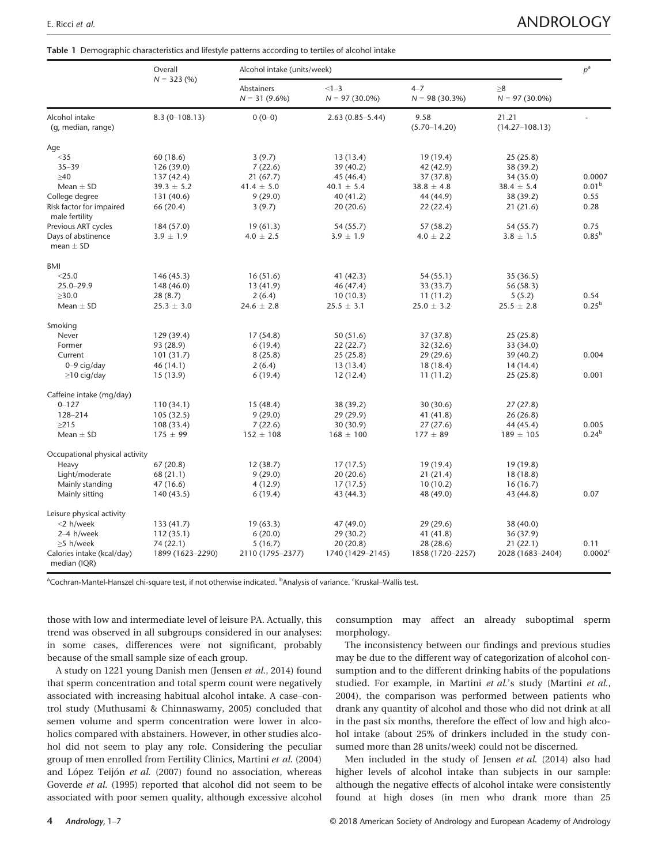Table 1 Demographic characteristics and lifestyle patterns according to tertiles of alcohol intake

|                                            | Overall          | Alcohol intake (units/week)    |                              |                             |                              |                     |  |  |
|--------------------------------------------|------------------|--------------------------------|------------------------------|-----------------------------|------------------------------|---------------------|--|--|
|                                            | $N = 323(%)$     | Abstainers<br>$N = 31 (9.6\%)$ | $<1 - 3$<br>$N = 97(30.0\%)$ | $4 - 7$<br>$N = 98(30.3\%)$ | $\geq 8$<br>$N = 97(30.0\%)$ |                     |  |  |
| Alcohol intake<br>(g, median, range)       | $8.3(0-108.13)$  | $0(0-0)$                       | $2.63(0.85 - 5.44)$          | 9.58<br>$(5.70 - 14.20)$    | 21.21<br>$(14.27 - 108.13)$  | $\overline{a}$      |  |  |
| Age                                        |                  |                                |                              |                             |                              |                     |  |  |
| $<$ 35                                     | 60 (18.6)        | 3(9.7)                         | 13(13.4)                     | 19 (19.4)                   | 25(25.8)                     |                     |  |  |
| $35 - 39$                                  | 126(39.0)        | 7(22.6)                        | 39 (40.2)                    | 42 (42.9)                   | 38 (39.2)                    |                     |  |  |
| $\geq 40$                                  | 137 (42.4)       | 21(67.7)                       | 45 (46.4)                    | 37 (37.8)                   | 34 (35.0)                    | 0.0007              |  |  |
| Mean $\pm$ SD                              | $39.3 \pm 5.2$   | $41.4 \pm 5.0$                 | $40.1 \pm 5.4$               | $38.8 \pm 4.8$              | $38.4 \pm 5.4$               | 0.01 <sup>b</sup>   |  |  |
| College degree                             | 131 (40.6)       | 9(29.0)                        | 40(41.2)                     | 44 (44.9)                   | 38 (39.2)                    | 0.55                |  |  |
| Risk factor for impaired                   | 66 (20.4)        | 3(9.7)                         | 20(20.6)                     | 22(22.4)                    | 21(21.6)                     | 0.28                |  |  |
| male fertility                             |                  |                                |                              |                             |                              |                     |  |  |
| Previous ART cycles                        | 184 (57.0)       | 19(61.3)                       | 54 (55.7)                    | 57 (58.2)                   | 54 (55.7)                    | 0.75                |  |  |
| Days of abstinence                         | $3.9 \pm 1.9$    | $4.0 \pm 2.5$                  | $3.9 \pm 1.9$                | $4.0 \pm 2.2$               | $3.8 \pm 1.5$                | $0.85^{b}$          |  |  |
| mean $\pm$ SD                              |                  |                                |                              |                             |                              |                     |  |  |
| BMI                                        |                  |                                |                              |                             |                              |                     |  |  |
| $<$ 25.0                                   | 146 (45.3)       | 16(51.6)                       | 41(42.3)                     | 54 (55.1)                   | 35(36.5)                     |                     |  |  |
| $25.0 - 29.9$                              | 148 (46.0)       | 13 (41.9)                      | 46 (47.4)                    | 33 (33.7)                   | 56 (58.3)                    |                     |  |  |
| >30.0                                      | 28(8.7)          | 2(6.4)                         | 10(10.3)                     | 11(11.2)                    | 5(5.2)                       | 0.54                |  |  |
| Mean $\pm$ SD                              | $25.3 \pm 3.0$   | $24.6 \pm 2.8$                 | $25.5 \pm 3.1$               | $25.0 \pm 3.2$              | $25.5 \pm 2.8$               | $0.25^{b}$          |  |  |
| Smoking                                    |                  |                                |                              |                             |                              |                     |  |  |
| Never                                      | 129 (39.4)       | 17(54.8)                       | 50(51.6)                     | 37 (37.8)                   | 25(25.8)                     |                     |  |  |
| Former                                     | 93 (28.9)        | 6(19.4)                        | 22(22.7)                     | 32 (32.6)                   | 33 (34.0)                    |                     |  |  |
| Current                                    | 101(31.7)        | 8(25.8)                        | 25(25.8)                     | 29 (29.6)                   | 39 (40.2)                    | 0.004               |  |  |
| $0 - 9$ cig/day                            | 46 (14.1)        | 2(6.4)                         | 13(13.4)                     | 18(18.4)                    | 14(14.4)                     |                     |  |  |
| $\geq$ 10 cig/day                          | 15(13.9)         | 6(19.4)                        | 12(12.4)                     | 11(11.2)                    | 25(25.8)                     | 0.001               |  |  |
| Caffeine intake (mg/day)                   |                  |                                |                              |                             |                              |                     |  |  |
| $0 - 127$                                  | 110(34.1)        | 15(48.4)                       | 38 (39.2)                    | 30(30.6)                    | 27(27.8)                     |                     |  |  |
| 128-214                                    | 105(32.5)        | 9(29.0)                        | 29 (29.9)                    | 41 (41.8)                   | 26(26.8)                     |                     |  |  |
| $\geq$ 215                                 | 108 (33.4)       | 7(22.6)                        | 30(30.9)                     | 27(27.6)                    | 44 (45.4)                    | 0.005               |  |  |
| Mean $\pm$ SD                              | $175 \pm 99$     | $152 \pm 108$                  | $168 \pm 100$                | $177 \pm 89$                | $189 \pm 105$                | 0.24 <sup>b</sup>   |  |  |
| Occupational physical activity             |                  |                                |                              |                             |                              |                     |  |  |
| Heavy                                      | 67(20.8)         | 12(38.7)                       | 17(17.5)                     | 19 (19.4)                   | 19(19.8)                     |                     |  |  |
| Light/moderate                             | 68 (21.1)        | 9(29.0)                        | 20(20.6)                     | 21(21.4)                    | 18(18.8)                     |                     |  |  |
| Mainly standing                            | 47 (16.6)        | 4(12.9)                        | 17(17.5)                     | 10(10.2)                    | 16(16.7)                     |                     |  |  |
| Mainly sitting                             | 140 (43.5)       | 6(19.4)                        | 43 (44.3)                    | 48 (49.0)                   | 43 (44.8)                    | 0.07                |  |  |
| Leisure physical activity                  |                  |                                |                              |                             |                              |                     |  |  |
| $<$ 2 h/week                               | 133 (41.7)       | 19(63.3)                       | 47 (49.0)                    | 29 (29.6)                   | 38 (40.0)                    |                     |  |  |
| $2-4$ h/week                               | 112(35.1)        | 6(20.0)                        | 29(30.2)                     | 41 (41.8)                   | 36(37.9)                     |                     |  |  |
| $\geq$ 5 h/week                            | 74 (22.1)        | 5(16.7)                        | 20(20.8)                     | 28 (28.6)                   | 21(22.1)                     | 0.11                |  |  |
| Calories intake (kcal/day)<br>median (IQR) | 1899 (1623-2290) | 2110 (1795-2377)               | 1740 (1429-2145)             | 1858 (1720-2257)            | 2028 (1683-2404)             | 0.0002 <sup>c</sup> |  |  |

<sup>a</sup>Cochran-Mantel-Hanszel chi-square test, if not otherwise indicated. <sup>b</sup>Analysis of variance. <sup>c</sup>Kruskal–Wallis test.

those with low and intermediate level of leisure PA. Actually, this trend was observed in all subgroups considered in our analyses: in some cases, differences were not significant, probably because of the small sample size of each group.

A study on 1221 young Danish men (Jensen et al., 2014) found that sperm concentration and total sperm count were negatively associated with increasing habitual alcohol intake. A case–control study (Muthusami & Chinnaswamy, 2005) concluded that semen volume and sperm concentration were lower in alcoholics compared with abstainers. However, in other studies alcohol did not seem to play any role. Considering the peculiar group of men enrolled from Fertility Clinics, Martini et al. (2004) and López Teijón et al. (2007) found no association, whereas Goverde et al. (1995) reported that alcohol did not seem to be associated with poor semen quality, although excessive alcohol

consumption may affect an already suboptimal sperm morphology.

The inconsistency between our findings and previous studies may be due to the different way of categorization of alcohol consumption and to the different drinking habits of the populations studied. For example, in Martini et al.'s study (Martini et al., 2004), the comparison was performed between patients who drank any quantity of alcohol and those who did not drink at all in the past six months, therefore the effect of low and high alcohol intake (about 25% of drinkers included in the study consumed more than 28 units/week) could not be discerned.

Men included in the study of Jensen et al. (2014) also had higher levels of alcohol intake than subjects in our sample: although the negative effects of alcohol intake were consistently found at high doses (in men who drank more than 25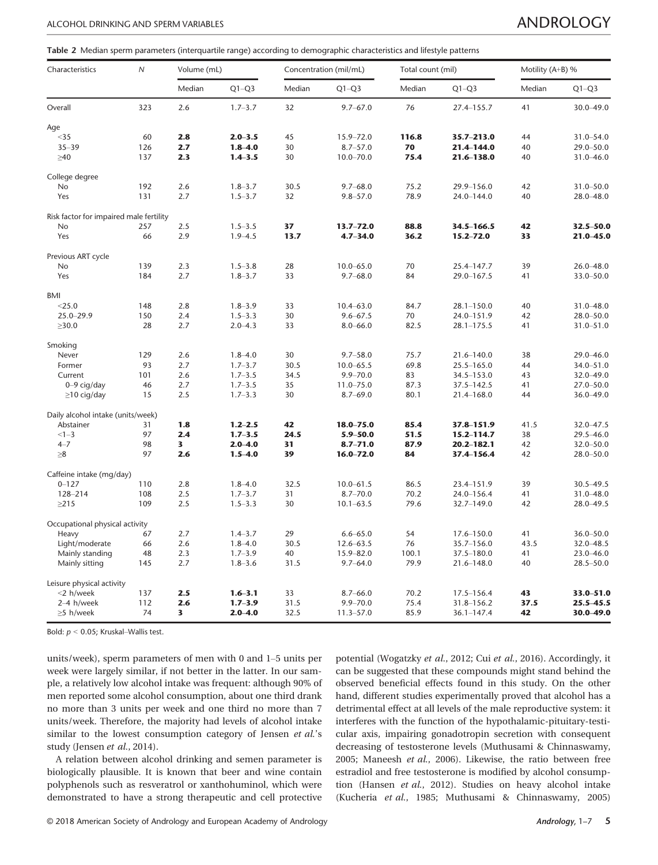Table 2 Median sperm parameters (interquartile range) according to demographic characteristics and lifestyle patterns

| Characteristics                         | $\overline{N}$ | Volume (mL) |             | Concentration (mil/mL) |               | Total count (mil) |                | Motility (A+B) % |               |
|-----------------------------------------|----------------|-------------|-------------|------------------------|---------------|-------------------|----------------|------------------|---------------|
|                                         |                | Median      | $Q1-Q3$     | Median                 | $Q1-Q3$       | Median            | $Q1-Q3$        | Median           | $Q1-Q3$       |
| Overall                                 | 323            | 2.6         | $1.7 - 3.7$ | 32                     | $9.7 - 67.0$  | 76                | 27.4-155.7     | 41               | 30.0-49.0     |
| Age                                     |                |             |             |                        |               |                   |                |                  |               |
| $35$                                    | 60             | 2.8         | $2.0 - 3.5$ | 45                     | 15.9-72.0     | 116.8             | 35.7-213.0     | 44               | 31.0-54.0     |
| $35 - 39$                               | 126            | 2.7         | $1.8 - 4.0$ | 30                     | $8.7 - 57.0$  | 70                | 21.4-144.0     | 40               | 29.0-50.0     |
| $\geq 40$                               | 137            | 2.3         | $1.4 - 3.5$ | 30                     | $10.0 - 70.0$ | 75.4              | 21.6-138.0     | 40               | $31.0 - 46.0$ |
| College degree                          |                |             |             |                        |               |                   |                |                  |               |
| No                                      | 192            | 2.6         | $1.8 - 3.7$ | 30.5                   | $9.7 - 68.0$  | 75.2              | 29.9-156.0     | 42               | $31.0 - 50.0$ |
| Yes                                     | 131            | 2.7         | $1.5 - 3.7$ | 32                     | $9.8 - 57.0$  | 78.9              | 24.0-144.0     | 40               | $28.0 - 48.0$ |
| Risk factor for impaired male fertility |                |             |             |                        |               |                   |                |                  |               |
| No                                      | 257            | 2.5         | $1.5 - 3.5$ | 37                     | $13.7 - 72.0$ | 88.8              | $34.5 - 166.5$ | 42               | 32.5-50.0     |
| Yes                                     | 66             | 2.9         | $1.9 - 4.5$ | 13.7                   | $4.7 - 34.0$  | 36.2              | 15.2–72.0      | 33               | $21.0 - 45.0$ |
| Previous ART cycle                      |                |             |             |                        |               |                   |                |                  |               |
| No                                      | 139            | 2.3         | $1.5 - 3.8$ | 28                     | $10.0 - 65.0$ | 70                | 25.4-147.7     | 39               | $26.0 - 48.0$ |
| Yes                                     | 184            | 2.7         | $1.8 - 3.7$ | 33                     | $9.7 - 68.0$  | 84                | 29.0-167.5     | 41               | 33.0-50.0     |
| <b>BMI</b>                              |                |             |             |                        |               |                   |                |                  |               |
| $<$ 25.0                                | 148            | 2.8         | $1.8 - 3.9$ | 33                     | $10.4 - 63.0$ | 84.7              | $28.1 - 150.0$ | 40               | 31.0-48.0     |
| $25.0 - 29.9$                           | 150            | 2.4         | $1.5 - 3.3$ | 30                     | $9.6 - 67.5$  | 70                | 24.0-151.9     | 42               | 28.0-50.0     |
| $\geq 30.0$                             | 28             | 2.7         | $2.0 - 4.3$ | 33                     | $8.0 - 66.0$  | 82.5              | $28.1 - 175.5$ | 41               | $31.0 - 51.0$ |
| Smoking                                 |                |             |             |                        |               |                   |                |                  |               |
| Never                                   | 129            | 2.6         | $1.8 - 4.0$ | 30                     | $9.7 - 58.0$  | 75.7              | 21.6-140.0     | 38               | 29.0-46.0     |
| Former                                  | 93             | 2.7         | $1.7 - 3.7$ | 30.5                   | $10.0 - 65.5$ | 69.8              | 25.5-165.0     | 44               | 34.0-51.0     |
| Current                                 | 101            | 2.6         | $1.7 - 3.5$ | 34.5                   | $9.9 - 70.0$  | 83                | 34.5-153.0     | 43               | 32.0-49.0     |
| $0 - 9$ cig/day                         | 46             | 2.7         | $1.7 - 3.5$ | 35                     | $11.0 - 75.0$ | 87.3              | 37.5-142.5     | 41               | $27.0 - 50.0$ |
| $\geq$ 10 cig/day                       | 15             | 2.5         | $1.7 - 3.3$ | 30                     | $8.7 - 69.0$  | 80.1              | 21.4-168.0     | 44               | $36.0 - 49.0$ |
| Daily alcohol intake (units/week)       |                |             |             |                        |               |                   |                |                  |               |
| Abstainer                               | 31             | 1.8         | $1.2 - 2.5$ | 42                     | 18.0-75.0     | 85.4              | 37.8-151.9     | 41.5             | 32.0-47.5     |
| $<1 - 3$                                | 97             | 2.4         | $1.7 - 3.5$ | 24.5                   | $5.9 - 50.0$  | 51.5              | 15.2-114.7     | 38               | $29.5 - 46.0$ |
| $4 - 7$                                 | 98             | 3           | $2.0 - 4.0$ | 31                     | $8.7 - 71.0$  | 87.9              | 20.2-182.1     | 42               | 32.0-50.0     |
| $\geq 8$                                | 97             | 2.6         | $1.5 - 4.0$ | 39                     | $16.0 - 72.0$ | 84                | 37.4-156.4     | 42               | 28.0-50.0     |
| Caffeine intake (mg/day)                |                |             |             |                        |               |                   |                |                  |               |
| $0 - 127$                               | 110            | 2.8         | $1.8 - 4.0$ | 32.5                   | $10.0 - 61.5$ | 86.5              | 23.4-151.9     | 39               | $30.5 - 49.5$ |
| 128-214                                 | 108            | 2.5         | $1.7 - 3.7$ | 31                     | $8.7 - 70.0$  | 70.2              | 24.0-156.4     | 41               | 31.0-48.0     |
| $\geq$ 215                              | 109            | 2.5         | $1.5 - 3.3$ | 30                     | $10.1 - 63.5$ | 79.6              | 32.7-149.0     | 42               | 28.0-49.5     |
| Occupational physical activity          |                |             |             |                        |               |                   |                |                  |               |
| Heavy                                   | 67             | 2.7         | $1.4 - 3.7$ | 29                     | $6.6 - 65.0$  | 54                | 17.6-150.0     | 41               | $36.0 - 50.0$ |
| Light/moderate                          | 66             | 2.6         | $1.8 - 4.0$ | 30.5                   | $12.6 - 63.5$ | 76                | 35.7-156.0     | 43.5             | 32.0-48.5     |
| Mainly standing                         | 48             | 2.3         | $1.7 - 3.9$ | 40                     | $15.9 - 82.0$ | 100.1             | 37.5-180.0     | 41               | 23.0-46.0     |
| Mainly sitting                          | 145            | 2.7         | $1.8 - 3.6$ | 31.5                   | $9.7 - 64.0$  | 79.9              | 21.6-148.0     | 40               | $28.5 - 50.0$ |
| Leisure physical activity               |                |             |             |                        |               |                   |                |                  |               |
| <2 h/week                               | 137            | 2.5         | $1.6 - 3.1$ | 33                     | $8.7 - 66.0$  | 70.2              | $17.5 - 156.4$ | 43               | 33.0-51.0     |
| 2-4 h/week                              | 112            | 2.6         | $1.7 - 3.9$ | 31.5                   | $9.9 - 70.0$  | 75.4              | 31.8-156.2     | 37.5             | $25.5 - 45.5$ |
| $\geq$ 5 h/week                         | 74             | 3           | $2.0 - 4.0$ | 32.5                   | $11.3 - 57.0$ | 85.9              | $36.1 - 147.4$ | 42               | 30.0-49.0     |

Bold:  $p < 0.05$ ; Kruskal-Wallis test.

units/week), sperm parameters of men with 0 and 1–5 units per week were largely similar, if not better in the latter. In our sample, a relatively low alcohol intake was frequent: although 90% of men reported some alcohol consumption, about one third drank no more than 3 units per week and one third no more than 7 units/week. Therefore, the majority had levels of alcohol intake similar to the lowest consumption category of Jensen et al.'s study (Jensen et al., 2014).

A relation between alcohol drinking and semen parameter is biologically plausible. It is known that beer and wine contain polyphenols such as resveratrol or xanthohuminol, which were demonstrated to have a strong therapeutic and cell protective potential (Wogatzky et al., 2012; Cui et al., 2016). Accordingly, it can be suggested that these compounds might stand behind the observed beneficial effects found in this study. On the other hand, different studies experimentally proved that alcohol has a detrimental effect at all levels of the male reproductive system: it interferes with the function of the hypothalamic-pituitary-testicular axis, impairing gonadotropin secretion with consequent decreasing of testosterone levels (Muthusami & Chinnaswamy, 2005; Maneesh et al., 2006). Likewise, the ratio between free estradiol and free testosterone is modified by alcohol consumption (Hansen et al., 2012). Studies on heavy alcohol intake (Kucheria et al., 1985; Muthusami & Chinnaswamy, 2005)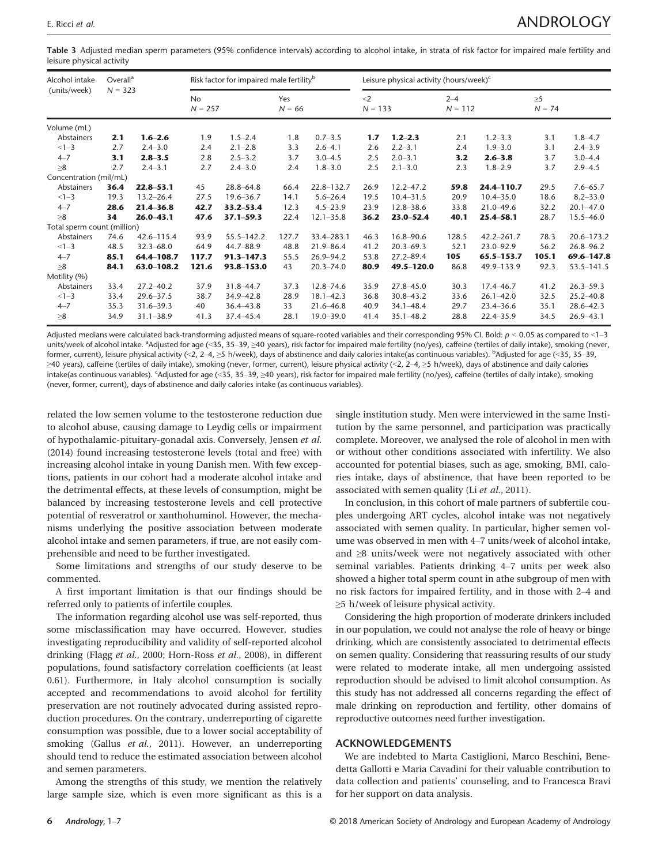Table 3 Adjusted median sperm parameters (95% confidence intervals) according to alcohol intake, in strata of risk factor for impaired male fertility and leisure physical activity

| Alcohol intake              | Overall <sup>a</sup><br>$N = 323$ |                | Risk factor for impaired male fertility <sup>b</sup> |                |                 | Leisure physical activity (hours/week) <sup>c</sup> |                    |               |                      |                |                |               |
|-----------------------------|-----------------------------------|----------------|------------------------------------------------------|----------------|-----------------|-----------------------------------------------------|--------------------|---------------|----------------------|----------------|----------------|---------------|
| (units/week)                |                                   |                | <b>No</b><br>$N = 257$                               |                | Yes<br>$N = 66$ |                                                     | $<$ 2<br>$N = 133$ |               | $2 - 4$<br>$N = 112$ |                | >5<br>$N = 74$ |               |
| Volume (mL)                 |                                   |                |                                                      |                |                 |                                                     |                    |               |                      |                |                |               |
| Abstainers                  | 2.1                               | $1.6 - 2.6$    | 1.9                                                  | $1.5 - 2.4$    | 1.8             | $0.7 - 3.5$                                         | 1.7                | $1.2 - 2.3$   | 2.1                  | $1.2 - 3.3$    | 3.1            | $1.8 - 4.7$   |
| $<1-3$                      | 2.7                               | $2.4 - 3.0$    | 2.4                                                  | $2.1 - 2.8$    | 3.3             | $2.6 - 4.1$                                         | 2.6                | $2.2 - 3.1$   | 2.4                  | $1.9 - 3.0$    | 3.1            | $2.4 - 3.9$   |
| $4 - 7$                     | 3.1                               | $2.8 - 3.5$    | 2.8                                                  | $2.5 - 3.2$    | 3.7             | $3.0 - 4.5$                                         | 2.5                | $2.0 - 3.1$   | 3.2                  | $2.6 - 3.8$    | 3.7            | $3.0 - 4.4$   |
| $\geq 8$                    | 2.7                               | $2.4 - 3.1$    | 2.7                                                  | $2.4 - 3.0$    | 2.4             | $1.8 - 3.0$                                         | 2.5                | $2.1 - 3.0$   | 2.3                  | $1.8 - 2.9$    | 3.7            | $2.9 - 4.5$   |
| Concentration (mil/mL)      |                                   |                |                                                      |                |                 |                                                     |                    |               |                      |                |                |               |
| Abstainers                  | 36.4                              | $22.8 - 53.1$  | 45                                                   | $28.8 - 64.8$  | 66.4            | 22.8-132.7                                          | 26.9               | $12.2 - 47.2$ | 59.8                 | 24.4-110.7     | 29.5           | $7.6 - 65.7$  |
| $<1-3$                      | 19.3                              | $13.2 - 26.4$  | 27.5                                                 | $19.6 - 36.7$  | 14.1            | $5.6 - 26.4$                                        | 19.5               | $10.4 - 31.5$ | 20.9                 | $10.4 - 35.0$  | 18.6           | $8.2 - 33.0$  |
| $4 - 7$                     | 28.6                              | $21.4 - 36.8$  | 42.7                                                 | $33.2 - 53.4$  | 12.3            | $4.5 - 23.9$                                        | 23.9               | $12.8 - 38.6$ | 33.8                 | $21.0 - 49.6$  | 32.2           | $20.1 - 47.0$ |
| $\geq 8$                    | 34                                | $26.0 - 43.1$  | 47.6                                                 | $37.1 - 59.3$  | 22.4            | $12.1 - 35.8$                                       | 36.2               | $23.0 - 52.4$ | 40.1                 | $25.4 - 58.1$  | 28.7           | $15.5 - 46.0$ |
| Total sperm count (million) |                                   |                |                                                      |                |                 |                                                     |                    |               |                      |                |                |               |
| Abstainers                  | 74.6                              | $42.6 - 115.4$ | 93.9                                                 | 55.5-142.2     | 127.7           | 33.4-283.1                                          | 46.3               | $16.8 - 90.6$ | 128.5                | $42.2 - 261.7$ | 78.3           | 20.6-173.2    |
| $<1 - 3$                    | 48.5                              | $32.3 - 68.0$  | 64.9                                                 | 44.7-88.9      | 48.8            | $21.9 - 86.4$                                       | 41.2               | $20.3 - 69.3$ | 52.1                 | 23.0-92.9      | 56.2           | $26.8 - 96.2$ |
| $4 - 7$                     | 85.1                              | 64.4-108.7     | 117.7                                                | $91.3 - 147.3$ | 55.5            | $26.9 - 94.2$                                       | 53.8               | $27.2 - 89.4$ | 105                  | 65.5-153.7     | 105.1          | 69.6-147.8    |
| $\geq 8$                    | 84.1                              | 63.0-108.2     | 121.6                                                | 93.8-153.0     | 43              | $20.3 - 74.0$                                       | 80.9               | 49.5-120.0    | 86.8                 | 49.9-133.9     | 92.3           | 53.5-141.5    |
| Motility (%)                |                                   |                |                                                      |                |                 |                                                     |                    |               |                      |                |                |               |
| Abstainers                  | 33.4                              | $27.2 - 40.2$  | 37.9                                                 | $31.8 - 44.7$  | 37.3            | $12.8 - 74.6$                                       | 35.9               | $27.8 - 45.0$ | 30.3                 | $17.4 - 46.7$  | 41.2           | $26.3 - 59.3$ |
| $<1-3$                      | 33.4                              | $29.6 - 37.5$  | 38.7                                                 | 34.9-42.8      | 28.9            | $18.1 - 42.3$                                       | 36.8               | $30.8 - 43.2$ | 33.6                 | $26.1 - 42.0$  | 32.5           | $25.2 - 40.8$ |
| $4 - 7$                     | 35.3                              | $31.6 - 39.3$  | 40                                                   | $36.4 - 43.8$  | 33              | $21.6 - 46.8$                                       | 40.9               | $34.1 - 48.4$ | 29.7                 | $23.4 - 36.6$  | 35.1           | $28.6 - 42.3$ |
| $\geq 8$                    | 34.9                              | $31.1 - 38.9$  | 41.3                                                 | 37.4-45.4      | 28.1            | $19.0 - 39.0$                                       | 41.4               | $35.1 - 48.2$ | 28.8                 | $22.4 - 35.9$  | 34.5           | $26.9 - 43.1$ |

Adjusted medians were calculated back-transforming adjusted means of square-rooted variables and their corresponding 95% CI. Bold:  $p < 0.05$  as compared to  $\leq$ 1-3 units/week of alcohol intake. <sup>a</sup>Adjusted for age (<35, 35–39, ≥40 years), risk factor for impaired male fertility (no/yes), caffeine (tertiles of daily intake), smoking (never, former, current), leisure physical activity (<2, 2–4, ≥5 h/week), days of abstinence and daily calories intake(as continuous variables). <sup>b</sup>Adjusted for age (<35, 35–39, ≥40 years), caffeine (tertiles of daily intake), smoking (never, former, current), leisure physical activity (<2, 2-4, ≥5 h/week), days of abstinence and daily calories intake(as continuous variables). <sup>c</sup>Adjusted for age (<35, 35–39, ≥40 years), risk factor for impaired male fertility (no/yes), caffeine (tertiles of daily intake), smoking (never, former, current), days of abstinence and daily calories intake (as continuous variables).

related the low semen volume to the testosterone reduction due to alcohol abuse, causing damage to Leydig cells or impairment of hypothalamic-pituitary-gonadal axis. Conversely, Jensen et al. (2014) found increasing testosterone levels (total and free) with increasing alcohol intake in young Danish men. With few exceptions, patients in our cohort had a moderate alcohol intake and the detrimental effects, at these levels of consumption, might be balanced by increasing testosterone levels and cell protective potential of resveratrol or xanthohuminol. However, the mechanisms underlying the positive association between moderate alcohol intake and semen parameters, if true, are not easily comprehensible and need to be further investigated.

Some limitations and strengths of our study deserve to be commented.

A first important limitation is that our findings should be referred only to patients of infertile couples.

The information regarding alcohol use was self-reported, thus some misclassification may have occurred. However, studies investigating reproducibility and validity of self-reported alcohol drinking (Flagg et al., 2000; Horn-Ross et al., 2008), in different populations, found satisfactory correlation coefficients (at least 0.61). Furthermore, in Italy alcohol consumption is socially accepted and recommendations to avoid alcohol for fertility preservation are not routinely advocated during assisted reproduction procedures. On the contrary, underreporting of cigarette consumption was possible, due to a lower social acceptability of smoking (Gallus et al., 2011). However, an underreporting should tend to reduce the estimated association between alcohol and semen parameters.

Among the strengths of this study, we mention the relatively large sample size, which is even more significant as this is a single institution study. Men were interviewed in the same Institution by the same personnel, and participation was practically complete. Moreover, we analysed the role of alcohol in men with or without other conditions associated with infertility. We also accounted for potential biases, such as age, smoking, BMI, calories intake, days of abstinence, that have been reported to be associated with semen quality (Li et al., 2011).

In conclusion, in this cohort of male partners of subfertile couples undergoing ART cycles, alcohol intake was not negatively associated with semen quality. In particular, higher semen volume was observed in men with 4–7 units/week of alcohol intake, and ≥8 units/week were not negatively associated with other seminal variables. Patients drinking 4–7 units per week also showed a higher total sperm count in athe subgroup of men with no risk factors for impaired fertility, and in those with 2–4 and ≥5 h/week of leisure physical activity.

Considering the high proportion of moderate drinkers included in our population, we could not analyse the role of heavy or binge drinking, which are consistently associated to detrimental effects on semen quality. Considering that reassuring results of our study were related to moderate intake, all men undergoing assisted reproduction should be advised to limit alcohol consumption. As this study has not addressed all concerns regarding the effect of male drinking on reproduction and fertility, other domains of reproductive outcomes need further investigation.

#### ACKNOWLEDGEMENTS

We are indebted to Marta Castiglioni, Marco Reschini, Benedetta Gallotti e Maria Cavadini for their valuable contribution to data collection and patients' counseling, and to Francesca Bravi for her support on data analysis.